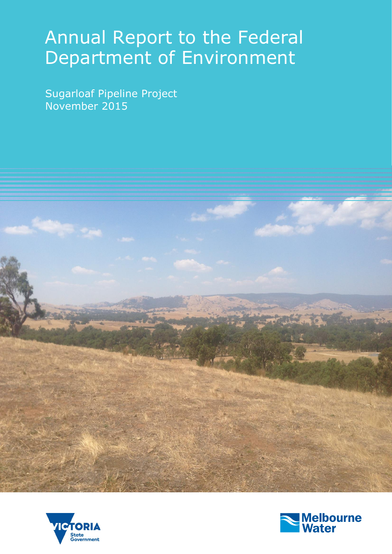# Annual Report to the Federal Department of Environment

Sugarloaf Pipeline Project November 2015





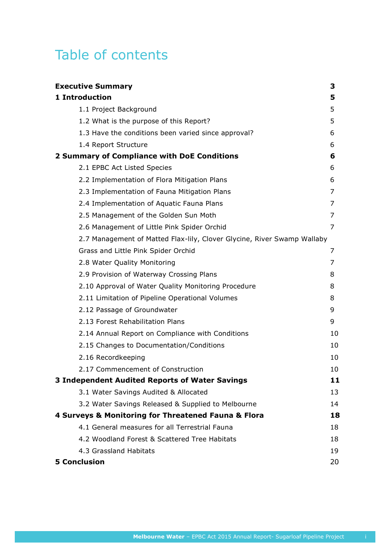# Table of contents

| <b>Executive Summary</b>                                                | 3  |
|-------------------------------------------------------------------------|----|
| 1 Introduction                                                          | 5  |
| 1.1 Project Background                                                  | 5  |
| 1.2 What is the purpose of this Report?                                 | 5  |
| 1.3 Have the conditions been varied since approval?                     | 6  |
| 1.4 Report Structure                                                    | 6  |
| 2 Summary of Compliance with DoE Conditions                             | 6  |
| 2.1 EPBC Act Listed Species                                             | 6  |
| 2.2 Implementation of Flora Mitigation Plans                            | 6  |
| 2.3 Implementation of Fauna Mitigation Plans                            | 7  |
| 2.4 Implementation of Aquatic Fauna Plans                               | 7  |
| 2.5 Management of the Golden Sun Moth                                   | 7  |
| 2.6 Management of Little Pink Spider Orchid                             | 7  |
| 2.7 Management of Matted Flax-lily, Clover Glycine, River Swamp Wallaby |    |
| Grass and Little Pink Spider Orchid                                     | 7  |
| 2.8 Water Quality Monitoring                                            | 7  |
| 2.9 Provision of Waterway Crossing Plans                                | 8  |
| 2.10 Approval of Water Quality Monitoring Procedure                     | 8  |
| 2.11 Limitation of Pipeline Operational Volumes                         | 8  |
| 2.12 Passage of Groundwater                                             | 9  |
| 2.13 Forest Rehabilitation Plans                                        | 9  |
| 2.14 Annual Report on Compliance with Conditions                        | 10 |
| 2.15 Changes to Documentation/Conditions                                | 10 |
| 2.16 Recordkeeping                                                      | 10 |
| 2.17 Commencement of Construction                                       | 10 |
| <b>3 Independent Audited Reports of Water Savings</b>                   | 11 |
| 3.1 Water Savings Audited & Allocated                                   | 13 |
| 3.2 Water Savings Released & Supplied to Melbourne                      | 14 |
| 4 Surveys & Monitoring for Threatened Fauna & Flora                     | 18 |
| 4.1 General measures for all Terrestrial Fauna                          | 18 |
| 4.2 Woodland Forest & Scattered Tree Habitats                           | 18 |
| 4.3 Grassland Habitats                                                  | 19 |
| <b>5 Conclusion</b>                                                     | 20 |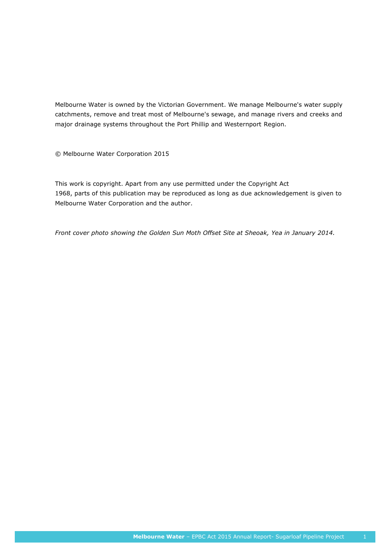Melbourne Water is owned by the Victorian Government. We manage Melbourne's water supply catchments, remove and treat most of Melbourne's sewage, and manage rivers and creeks and major drainage systems throughout the Port Phillip and Westernport Region.

© Melbourne Water Corporation 2015

This work is copyright. Apart from any use permitted under the Copyright Act 1968, parts of this publication may be reproduced as long as due acknowledgement is given to Melbourne Water Corporation and the author.

*Front cover photo showing the Golden Sun Moth Offset Site at Sheoak, Yea in January 2014.*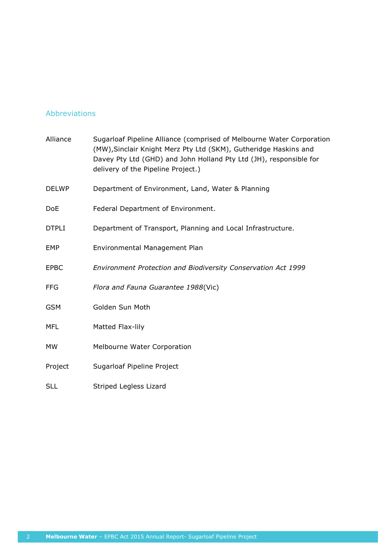### Abbreviations

| Alliance     | Sugarloaf Pipeline Alliance (comprised of Melbourne Water Corporation<br>(MW), Sinclair Knight Merz Pty Ltd (SKM), Gutheridge Haskins and<br>Davey Pty Ltd (GHD) and John Holland Pty Ltd (JH), responsible for<br>delivery of the Pipeline Project.) |
|--------------|-------------------------------------------------------------------------------------------------------------------------------------------------------------------------------------------------------------------------------------------------------|
| <b>DELWP</b> | Department of Environment, Land, Water & Planning                                                                                                                                                                                                     |
| <b>DoE</b>   | Federal Department of Environment.                                                                                                                                                                                                                    |
| <b>DTPLI</b> | Department of Transport, Planning and Local Infrastructure.                                                                                                                                                                                           |
| <b>EMP</b>   | Environmental Management Plan                                                                                                                                                                                                                         |
| <b>EPBC</b>  | Environment Protection and Biodiversity Conservation Act 1999                                                                                                                                                                                         |
| <b>FFG</b>   | Flora and Fauna Guarantee 1988(Vic)                                                                                                                                                                                                                   |
| <b>GSM</b>   | Golden Sun Moth                                                                                                                                                                                                                                       |
| <b>MFL</b>   | Matted Flax-lily                                                                                                                                                                                                                                      |
| <b>MW</b>    | Melbourne Water Corporation                                                                                                                                                                                                                           |
| Project      | Sugarloaf Pipeline Project                                                                                                                                                                                                                            |
| <b>SLL</b>   | Striped Legless Lizard                                                                                                                                                                                                                                |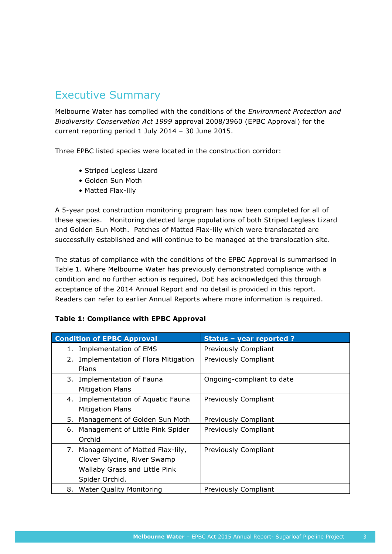# Executive Summary

Melbourne Water has complied with the conditions of the *Environment Protection and Biodiversity Conservation Act 1999* approval 2008/3960 (EPBC Approval) for the current reporting period 1 July 2014 – 30 June 2015.

Three EPBC listed species were located in the construction corridor:

- Striped Legless Lizard
- Golden Sun Moth
- Matted Flax-lily

A 5-year post construction monitoring program has now been completed for all of these species. Monitoring detected large populations of both Striped Legless Lizard and Golden Sun Moth. Patches of Matted Flax-lily which were translocated are successfully established and will continue to be managed at the translocation site.

The status of compliance with the conditions of the EPBC Approval is summarised in Table 1. Where Melbourne Water has previously demonstrated compliance with a condition and no further action is required, DoE has acknowledged this through acceptance of the 2014 Annual Report and no detail is provided in this report. Readers can refer to earlier Annual Reports where more information is required.

|  |  |  | <b>Table 1: Compliance with EPBC Approval</b> |
|--|--|--|-----------------------------------------------|
|  |  |  |                                               |

| <b>Condition of EPBC Approval</b>                                                                                       | Status - year reported ?    |
|-------------------------------------------------------------------------------------------------------------------------|-----------------------------|
| Implementation of EMS<br>1.                                                                                             | Previously Compliant        |
| Implementation of Flora Mitigation<br>2.<br>Plans                                                                       | Previously Compliant        |
| 3. Implementation of Fauna<br><b>Mitigation Plans</b>                                                                   | Ongoing-compliant to date   |
| 4. Implementation of Aquatic Fauna<br><b>Mitigation Plans</b>                                                           | Previously Compliant        |
| Management of Golden Sun Moth<br>5.                                                                                     | <b>Previously Compliant</b> |
| 6.<br>Management of Little Pink Spider<br>Orchid                                                                        | Previously Compliant        |
| Management of Matted Flax-lily,<br>7.<br>Clover Glycine, River Swamp<br>Wallaby Grass and Little Pink<br>Spider Orchid. | Previously Compliant        |
| <b>Water Quality Monitoring</b><br>8.                                                                                   | <b>Previously Compliant</b> |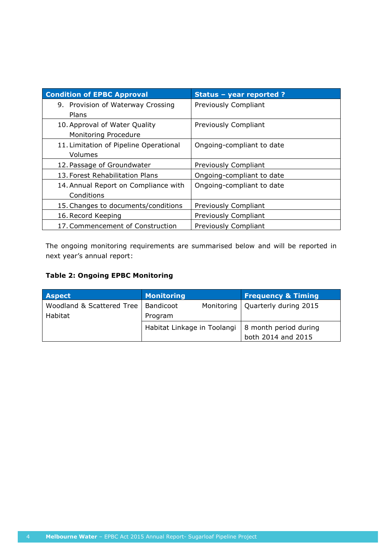| <b>Condition of EPBC Approval</b>      | Status - year reported ?  |
|----------------------------------------|---------------------------|
| 9. Provision of Waterway Crossing      | Previously Compliant      |
| Plans                                  |                           |
| 10. Approval of Water Quality          | Previously Compliant      |
| Monitoring Procedure                   |                           |
| 11. Limitation of Pipeline Operational | Ongoing-compliant to date |
| Volumes                                |                           |
| 12. Passage of Groundwater             | Previously Compliant      |
| 13. Forest Rehabilitation Plans        | Ongoing-compliant to date |
| 14. Annual Report on Compliance with   | Ongoing-compliant to date |
| Conditions                             |                           |
| 15. Changes to documents/conditions    | Previously Compliant      |
| 16. Record Keeping                     | Previously Compliant      |
| 17. Commencement of Construction       | Previously Compliant      |

The ongoing monitoring requirements are summarised below and will be reported in next year's annual report:

### **Table 2: Ongoing EPBC Monitoring**

| <b>Aspect</b>                         | <b>Monitoring</b>           | <b>Frequency &amp; Timing</b>      |
|---------------------------------------|-----------------------------|------------------------------------|
| Woodland & Scattered Tree   Bandicoot |                             | Monitoring   Quarterly during 2015 |
| <b>Habitat</b>                        | Program                     |                                    |
|                                       | Habitat Linkage in Toolangi | 8 month period during              |
|                                       |                             | both 2014 and 2015                 |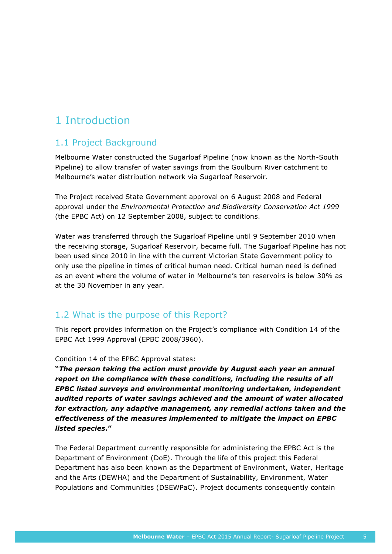# 1 Introduction

# 1.1 Project Background

Melbourne Water constructed the Sugarloaf Pipeline (now known as the North-South Pipeline) to allow transfer of water savings from the Goulburn River catchment to Melbourne's water distribution network via Sugarloaf Reservoir.

The Project received State Government approval on 6 August 2008 and Federal approval under the *Environmental Protection and Biodiversity Conservation Act 1999* (the EPBC Act) on 12 September 2008, subject to conditions.

Water was transferred through the Sugarloaf Pipeline until 9 September 2010 when the receiving storage, Sugarloaf Reservoir, became full. The Sugarloaf Pipeline has not been used since 2010 in line with the current Victorian State Government policy to only use the pipeline in times of critical human need. Critical human need is defined as an event where the volume of water in Melbourne's ten reservoirs is below 30% as at the 30 November in any year.

# 1.2 What is the purpose of this Report?

This report provides information on the Project's compliance with Condition 14 of the EPBC Act 1999 Approval (EPBC 2008/3960).

Condition 14 of the EPBC Approval states:

**"***The person taking the action must provide by August each year an annual report on the compliance with these conditions, including the results of all EPBC listed surveys and environmental monitoring undertaken, independent audited reports of water savings achieved and the amount of water allocated for extraction, any adaptive management, any remedial actions taken and the effectiveness of the measures implemented to mitigate the impact on EPBC listed species***."**

The Federal Department currently responsible for administering the EPBC Act is the Department of Environment (DoE). Through the life of this project this Federal Department has also been known as the Department of Environment, Water, Heritage and the Arts (DEWHA) and the Department of Sustainability, Environment, Water Populations and Communities (DSEWPaC). Project documents consequently contain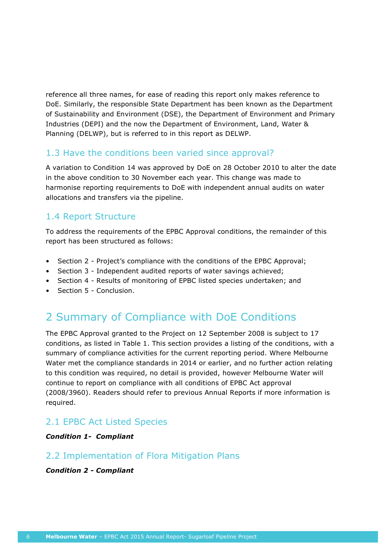reference all three names, for ease of reading this report only makes reference to DoE. Similarly, the responsible State Department has been known as the Department of Sustainability and Environment (DSE), the Department of Environment and Primary Industries (DEPI) and the now the Department of Environment, Land, Water & Planning (DELWP), but is referred to in this report as DELWP.

### 1.3 Have the conditions been varied since approval?

A variation to Condition 14 was approved by DoE on 28 October 2010 to alter the date in the above condition to 30 November each year. This change was made to harmonise reporting requirements to DoE with independent annual audits on water allocations and transfers via the pipeline.

# 1.4 Report Structure

To address the requirements of the EPBC Approval conditions, the remainder of this report has been structured as follows:

- Section 2 Project's compliance with the conditions of the EPBC Approval;
- Section 3 Independent audited reports of water savings achieved;
- Section 4 Results of monitoring of EPBC listed species undertaken; and
- Section 5 Conclusion.

# 2 Summary of Compliance with DoE Conditions

The EPBC Approval granted to the Project on 12 September 2008 is subject to 17 conditions, as listed in Table 1. This section provides a listing of the conditions, with a summary of compliance activities for the current reporting period. Where Melbourne Water met the compliance standards in 2014 or earlier, and no further action relating to this condition was required, no detail is provided, however Melbourne Water will continue to report on compliance with all conditions of EPBC Act approval (2008/3960). Readers should refer to previous Annual Reports if more information is required.

# 2.1 EPBC Act Listed Species

### *Condition 1- Compliant*

### 2.2 Implementation of Flora Mitigation Plans

### *Condition 2 - Compliant*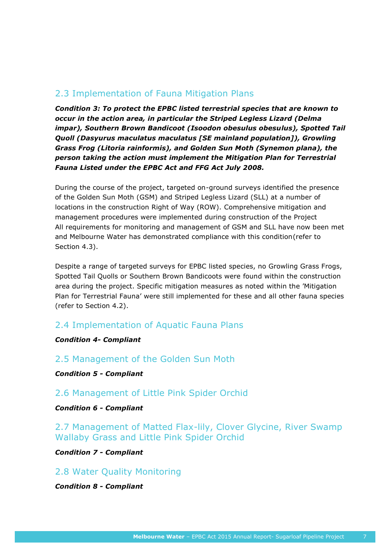# 2.3 Implementation of Fauna Mitigation Plans

*Condition 3: To protect the EPBC listed terrestrial species that are known to occur in the action area, in particular the Striped Legless Lizard (Delma impar), Southern Brown Bandicoot (Isoodon obesulus obesulus), Spotted Tail Quoll (Dasyurus maculatus maculatus [SE mainland population]), Growling Grass Frog (Litoria rainformis), and Golden Sun Moth (Synemon plana), the person taking the action must implement the Mitigation Plan for Terrestrial Fauna Listed under the EPBC Act and FFG Act July 2008.* 

During the course of the project, targeted on-ground surveys identified the presence of the Golden Sun Moth (GSM) and Striped Legless Lizard (SLL) at a number of locations in the construction Right of Way (ROW). Comprehensive mitigation and management procedures were implemented during construction of the Project All requirements for monitoring and management of GSM and SLL have now been met and Melbourne Water has demonstrated compliance with this condition(refer to Section 4.3).

Despite a range of targeted surveys for EPBC listed species, no Growling Grass Frogs, Spotted Tail Quolls or Southern Brown Bandicoots were found within the construction area during the project. Specific mitigation measures as noted within the 'Mitigation Plan for Terrestrial Fauna' were still implemented for these and all other fauna species (refer to Section 4.2).

### 2.4 Implementation of Aquatic Fauna Plans

### *Condition 4- Compliant*

2.5 Management of the Golden Sun Moth

*Condition 5 - Compliant*

2.6 Management of Little Pink Spider Orchid

*Condition 6 - Compliant*

2.7 Management of Matted Flax-lily, Clover Glycine, River Swamp Wallaby Grass and Little Pink Spider Orchid

*Condition 7 - Compliant*

2.8 Water Quality Monitoring

*Condition 8 - Compliant*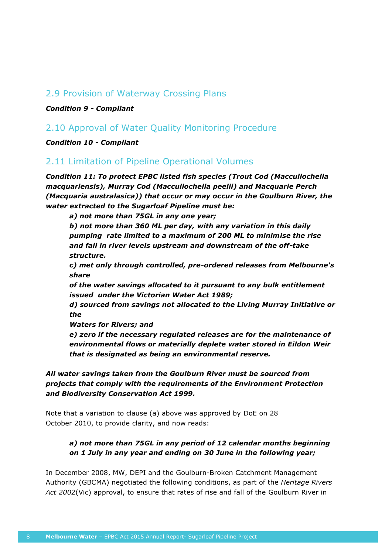### 2.9 Provision of Waterway Crossing Plans

*Condition 9 - Compliant*

### 2.10 Approval of Water Quality Monitoring Procedure

*Condition 10 - Compliant*

### 2.11 Limitation of Pipeline Operational Volumes

*Condition 11: To protect EPBC listed fish species (Trout Cod (Maccullochella macquariensis), Murray Cod (Maccullochella peelii) and Macquarie Perch (Macquaria australasica)) that occur or may occur in the Goulburn River, the water extracted to the Sugarloaf Pipeline must be:* 

*a) not more than 75GL in any one year;* 

*b) not more than 360 ML per day, with any variation in this daily pumping rate limited to a maximum of 200 ML to minimise the rise and fall in river levels upstream and downstream of the off-take structure.* 

*c) met only through controlled, pre-ordered releases from Melbourne's share* 

*of the water savings allocated to it pursuant to any bulk entitlement issued under the Victorian Water Act 1989;* 

*d) sourced from savings not allocated to the Living Murray Initiative or the* 

*Waters for Rivers; and* 

*e) zero if the necessary regulated releases are for the maintenance of environmental flows or materially deplete water stored in Eildon Weir that is designated as being an environmental reserve.* 

### *All water savings taken from the Goulburn River must be sourced from projects that comply with the requirements of the Environment Protection and Biodiversity Conservation Act 1999.*

Note that a variation to clause (a) above was approved by DoE on 28 October 2010, to provide clarity, and now reads:

### *a) not more than 75GL in any period of 12 calendar months beginning on 1 July in any year and ending on 30 June in the following year;*

In December 2008, MW, DEPI and the Goulburn-Broken Catchment Management Authority (GBCMA) negotiated the following conditions, as part of the *Heritage Rivers Act 2002*(Vic) approval, to ensure that rates of rise and fall of the Goulburn River in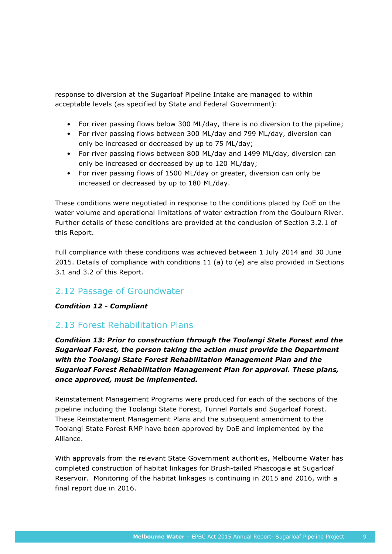response to diversion at the Sugarloaf Pipeline Intake are managed to within acceptable levels (as specified by State and Federal Government):

- For river passing flows below 300 ML/day, there is no diversion to the pipeline;
- For river passing flows between 300 ML/day and 799 ML/day, diversion can only be increased or decreased by up to 75 ML/day;
- For river passing flows between 800 ML/day and 1499 ML/day, diversion can only be increased or decreased by up to 120 ML/day;
- For river passing flows of 1500 ML/day or greater, diversion can only be increased or decreased by up to 180 ML/day.

These conditions were negotiated in response to the conditions placed by DoE on the water volume and operational limitations of water extraction from the Goulburn River. Further details of these conditions are provided at the conclusion of Section 3.2.1 of this Report.

Full compliance with these conditions was achieved between 1 July 2014 and 30 June 2015. Details of compliance with conditions 11 (a) to (e) are also provided in Sections 3.1 and 3.2 of this Report.

### 2.12 Passage of Groundwater

### *Condition 12 - Compliant*

### 2.13 Forest Rehabilitation Plans

*Condition 13: Prior to construction through the Toolangi State Forest and the Sugarloaf Forest, the person taking the action must provide the Department with the Toolangi State Forest Rehabilitation Management Plan and the Sugarloaf Forest Rehabilitation Management Plan for approval. These plans, once approved, must be implemented.* 

Reinstatement Management Programs were produced for each of the sections of the pipeline including the Toolangi State Forest, Tunnel Portals and Sugarloaf Forest. These Reinstatement Management Plans and the subsequent amendment to the Toolangi State Forest RMP have been approved by DoE and implemented by the Alliance.

With approvals from the relevant State Government authorities, Melbourne Water has completed construction of habitat linkages for Brush-tailed Phascogale at Sugarloaf Reservoir. Monitoring of the habitat linkages is continuing in 2015 and 2016, with a final report due in 2016.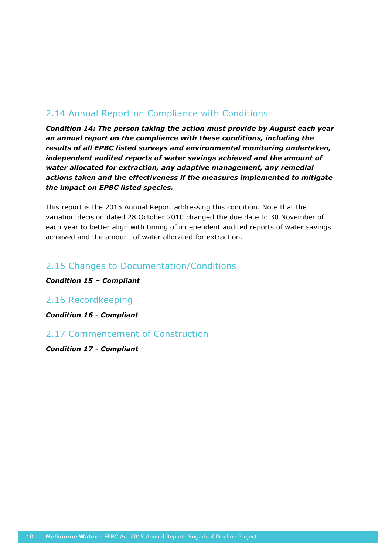# 2.14 Annual Report on Compliance with Conditions

*Condition 14: The person taking the action must provide by August each year an annual report on the compliance with these conditions, including the results of all EPBC listed surveys and environmental monitoring undertaken, independent audited reports of water savings achieved and the amount of water allocated for extraction, any adaptive management, any remedial actions taken and the effectiveness if the measures implemented to mitigate the impact on EPBC listed species.* 

This report is the 2015 Annual Report addressing this condition. Note that the variation decision dated 28 October 2010 changed the due date to 30 November of each year to better align with timing of independent audited reports of water savings achieved and the amount of water allocated for extraction.

# 2.15 Changes to Documentation/Conditions

*Condition 15 – Compliant*

### 2.16 Recordkeeping

*Condition 16 - Compliant*

### 2.17 Commencement of Construction

*Condition 17 - Compliant*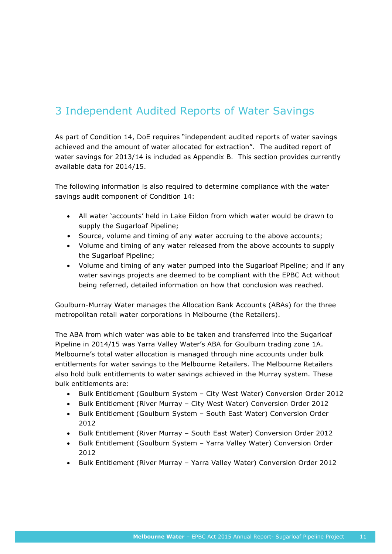# 3 Independent Audited Reports of Water Savings

As part of Condition 14, DoE requires "independent audited reports of water savings achieved and the amount of water allocated for extraction". The audited report of water savings for 2013/14 is included as Appendix B. This section provides currently available data for 2014/15.

The following information is also required to determine compliance with the water savings audit component of Condition 14:

- All water 'accounts' held in Lake Eildon from which water would be drawn to supply the Sugarloaf Pipeline;
- Source, volume and timing of any water accruing to the above accounts;
- Volume and timing of any water released from the above accounts to supply the Sugarloaf Pipeline;
- Volume and timing of any water pumped into the Sugarloaf Pipeline; and if any water savings projects are deemed to be compliant with the EPBC Act without being referred, detailed information on how that conclusion was reached.

Goulburn-Murray Water manages the Allocation Bank Accounts (ABAs) for the three metropolitan retail water corporations in Melbourne (the Retailers).

The ABA from which water was able to be taken and transferred into the Sugarloaf Pipeline in 2014/15 was Yarra Valley Water's ABA for Goulburn trading zone 1A. Melbourne's total water allocation is managed through nine accounts under bulk entitlements for water savings to the Melbourne Retailers. The Melbourne Retailers also hold bulk entitlements to water savings achieved in the Murray system. These bulk entitlements are:

- Bulk Entitlement (Goulburn System City West Water) Conversion Order 2012
- Bulk Entitlement (River Murray City West Water) Conversion Order 2012
- Bulk Entitlement (Goulburn System South East Water) Conversion Order 2012
- Bulk Entitlement (River Murray South East Water) Conversion Order 2012
- Bulk Entitlement (Goulburn System Yarra Valley Water) Conversion Order 2012
- Bulk Entitlement (River Murray Yarra Valley Water) Conversion Order 2012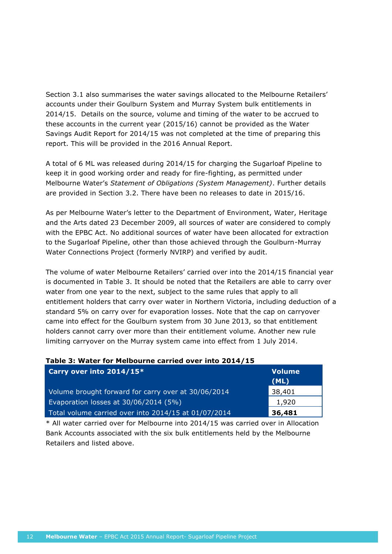Section 3.1 also summarises the water savings allocated to the Melbourne Retailers' accounts under their Goulburn System and Murray System bulk entitlements in 2014/15. Details on the source, volume and timing of the water to be accrued to these accounts in the current year (2015/16) cannot be provided as the Water Savings Audit Report for 2014/15 was not completed at the time of preparing this report. This will be provided in the 2016 Annual Report.

A total of 6 ML was released during 2014/15 for charging the Sugarloaf Pipeline to keep it in good working order and ready for fire-fighting, as permitted under Melbourne Water's *Statement of Obligations (System Management)*. Further details are provided in Section 3.2. There have been no releases to date in 2015/16.

As per Melbourne Water's letter to the Department of Environment, Water, Heritage and the Arts dated 23 December 2009, all sources of water are considered to comply with the EPBC Act. No additional sources of water have been allocated for extraction to the Sugarloaf Pipeline, other than those achieved through the Goulburn-Murray Water Connections Project (formerly NVIRP) and verified by audit.

The volume of water Melbourne Retailers' carried over into the 2014/15 financial year is documented in Table 3. It should be noted that the Retailers are able to carry over water from one year to the next, subject to the same rules that apply to all entitlement holders that carry over water in Northern Victoria, including deduction of a standard 5% on carry over for evaporation losses. Note that the cap on carryover came into effect for the Goulburn system from 30 June 2013, so that entitlement holders cannot carry over more than their entitlement volume. Another new rule limiting carryover on the Murray system came into effect from 1 July 2014.

#### **Table 3: Water for Melbourne carried over into 2014/15**

| Carry over into 2014/15*                             | <b>Volume</b> |
|------------------------------------------------------|---------------|
|                                                      | (ML)          |
| Volume brought forward for carry over at 30/06/2014  | 38,401        |
| Evaporation losses at 30/06/2014 (5%)                | 1,920         |
| Total volume carried over into 2014/15 at 01/07/2014 | 36,481        |

\* All water carried over for Melbourne into 2014/15 was carried over in Allocation Bank Accounts associated with the six bulk entitlements held by the Melbourne Retailers and listed above.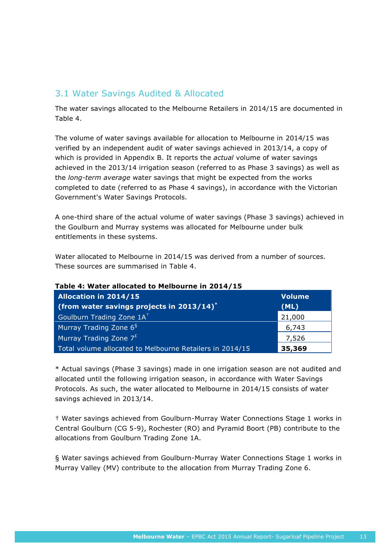# 3.1 Water Savings Audited & Allocated

The water savings allocated to the Melbourne Retailers in 2014/15 are documented in Table 4.

The volume of water savings available for allocation to Melbourne in 2014/15 was verified by an independent audit of water savings achieved in 2013/14, a copy of which is provided in Appendix B. It reports the *actual* volume of water savings achieved in the 2013/14 irrigation season (referred to as Phase 3 savings) as well as the *long-term average* water savings that might be expected from the works completed to date (referred to as Phase 4 savings), in accordance with the Victorian Government's Water Savings Protocols.

A one-third share of the actual volume of water savings (Phase 3 savings) achieved in the Goulburn and Murray systems was allocated for Melbourne under bulk entitlements in these systems.

Water allocated to Melbourne in 2014/15 was derived from a number of sources. These sources are summarised in [Table 4](#page-16-0).

| <b>Allocation in 2014/15</b><br>(from water savings projects in $2013/14$ )* | <b>Volume</b><br>(ML) |  |  |
|------------------------------------------------------------------------------|-----------------------|--|--|
| Goulburn Trading Zone 1A <sup>+</sup>                                        | 21,000                |  |  |
| Murray Trading Zone 6 <sup>§</sup>                                           | 6,743                 |  |  |
| Murray Trading Zone $7^{E}$                                                  | 7,526                 |  |  |
| Total volume allocated to Melbourne Retailers in 2014/15                     | 35,369                |  |  |

#### <span id="page-16-0"></span>**Table 4: Water allocated to Melbourne in 2014/15**

\* Actual savings (Phase 3 savings) made in one irrigation season are not audited and allocated until the following irrigation season, in accordance with Water Savings Protocols. As such, the water allocated to Melbourne in 2014/15 consists of water savings achieved in 2013/14.

† Water savings achieved from Goulburn-Murray Water Connections Stage 1 works in Central Goulburn (CG 5-9), Rochester (RO) and Pyramid Boort (PB) contribute to the allocations from Goulburn Trading Zone 1A.

§ Water savings achieved from Goulburn-Murray Water Connections Stage 1 works in Murray Valley (MV) contribute to the allocation from Murray Trading Zone 6.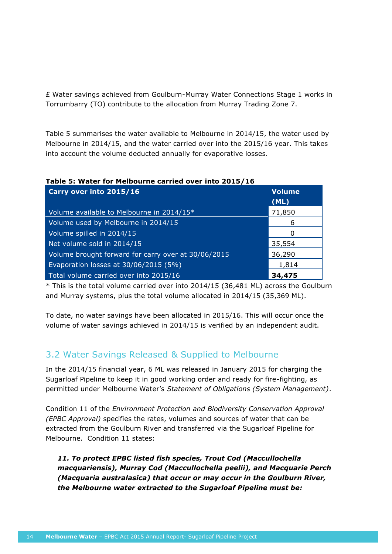£ Water savings achieved from Goulburn-Murray Water Connections Stage 1 works in Torrumbarry (TO) contribute to the allocation from Murray Trading Zone 7.

[Table](#page-17-0) 5 summarises the water available to Melbourne in 2014/15, the water used by Melbourne in 2014/15, and the water carried over into the 2015/16 year. This takes into account the volume deducted annually for evaporative losses.

| $1800$ . Water for memodring carried over the Z019/10 |                       |  |  |
|-------------------------------------------------------|-----------------------|--|--|
| Carry over into 2015/16                               | <b>Volume</b><br>(ML) |  |  |
| Volume available to Melbourne in 2014/15*             | 71,850                |  |  |
| Volume used by Melbourne in 2014/15                   | 6                     |  |  |
| Volume spilled in 2014/15                             |                       |  |  |
| Net volume sold in 2014/15                            | 35,554                |  |  |
| Volume brought forward for carry over at 30/06/2015   | 36,290                |  |  |
| Evaporation losses at 30/06/2015 (5%)                 | 1,814                 |  |  |
| Total volume carried over into 2015/16                | 34,475                |  |  |

#### <span id="page-17-0"></span>**Table 5: Water for Melbourne carried over into 2015/16**

\* This is the total volume carried over into 2014/15 (36,481 ML) across the Goulburn and Murray systems, plus the total volume allocated in 2014/15 (35,369 ML).

To date, no water savings have been allocated in 2015/16. This will occur once the volume of water savings achieved in 2014/15 is verified by an independent audit.

# 3.2 Water Savings Released & Supplied to Melbourne

In the 2014/15 financial year, 6 ML was released in January 2015 for charging the Sugarloaf Pipeline to keep it in good working order and ready for fire-fighting, as permitted under Melbourne Water's *Statement of Obligations (System Management)*.

Condition 11 of the *Environment Protection and Biodiversity Conservation Approval (EPBC Approval)* specifies the rates, volumes and sources of water that can be extracted from the Goulburn River and transferred via the Sugarloaf Pipeline for Melbourne. Condition 11 states:

*11. To protect EPBC listed fish species, Trout Cod (Maccullochella macquariensis), Murray Cod (Maccullochella peelii), and Macquarie Perch (Macquaria australasica) that occur or may occur in the Goulburn River, the Melbourne water extracted to the Sugarloaf Pipeline must be:*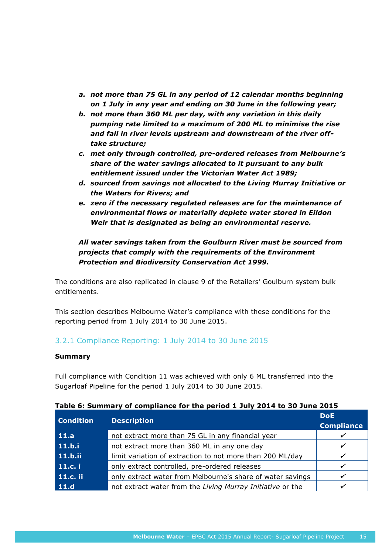- *a. not more than 75 GL in any period of 12 calendar months beginning on 1 July in any year and ending on 30 June in the following year;*
- *b. not more than 360 ML per day, with any variation in this daily pumping rate limited to a maximum of 200 ML to minimise the rise and fall in river levels upstream and downstream of the river offtake structure;*
- *c. met only through controlled, pre-ordered releases from Melbourne's share of the water savings allocated to it pursuant to any bulk entitlement issued under the Victorian Water Act 1989;*
- *d. sourced from savings not allocated to the Living Murray Initiative or the Waters for Rivers; and*
- *e. zero if the necessary regulated releases are for the maintenance of environmental flows or materially deplete water stored in Eildon Weir that is designated as being an environmental reserve.*

*All water savings taken from the Goulburn River must be sourced from projects that comply with the requirements of the Environment Protection and Biodiversity Conservation Act 1999.*

The conditions are also replicated in clause 9 of the Retailers' Goulburn system bulk entitlements.

This section describes Melbourne Water's compliance with these conditions for the reporting period from 1 July 2014 to 30 June 2015.

### 3.2.1 Compliance Reporting: 1 July 2014 to 30 June 2015

#### **Summary**

Full compliance with Condition 11 was achieved with only 6 ML transferred into the Sugarloaf Pipeline for the period 1 July 2014 to 30 June 2015.

| <b>Condition</b> | <b>Description</b>                                         | <b>DoE</b><br><b>Compliance</b> |
|------------------|------------------------------------------------------------|---------------------------------|
| 11.a             | not extract more than 75 GL in any financial year          |                                 |
| 11.b.i           | not extract more than 360 ML in any one day                |                                 |
| 11.b.ii          | limit variation of extraction to not more than 200 ML/day  |                                 |
| 11.c. i          | only extract controlled, pre-ordered releases              |                                 |
| 11.c. ii         | only extract water from Melbourne's share of water savings |                                 |
| 11.d             | not extract water from the Living Murray Initiative or the |                                 |

**Table 6: Summary of compliance for the period 1 July 2014 to 30 June 2015**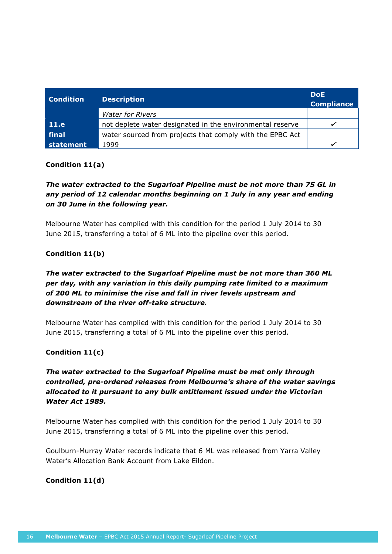| <b>Condition</b> | <b>Description</b>                                        | <b>DoE</b><br><b>Compliance</b> |
|------------------|-----------------------------------------------------------|---------------------------------|
|                  | <b>Water for Rivers</b>                                   |                                 |
| 11.e             | not deplete water designated in the environmental reserve |                                 |
| final            | water sourced from projects that comply with the EPBC Act |                                 |
| statement        | 1999                                                      |                                 |

#### **Condition 11(a)**

### *The water extracted to the Sugarloaf Pipeline must be not more than 75 GL in any period of 12 calendar months beginning on 1 July in any year and ending on 30 June in the following year.*

Melbourne Water has complied with this condition for the period 1 July 2014 to 30 June 2015, transferring a total of 6 ML into the pipeline over this period.

### **Condition 11(b)**

### *The water extracted to the Sugarloaf Pipeline must be not more than 360 ML per day, with any variation in this daily pumping rate limited to a maximum of 200 ML to minimise the rise and fall in river levels upstream and downstream of the river off-take structure.*

Melbourne Water has complied with this condition for the period 1 July 2014 to 30 June 2015, transferring a total of 6 ML into the pipeline over this period.

### **Condition 11(c)**

### *The water extracted to the Sugarloaf Pipeline must be met only through controlled, pre-ordered releases from Melbourne's share of the water savings allocated to it pursuant to any bulk entitlement issued under the Victorian Water Act 1989.*

Melbourne Water has complied with this condition for the period 1 July 2014 to 30 June 2015, transferring a total of 6 ML into the pipeline over this period.

Goulburn-Murray Water records indicate that 6 ML was released from Yarra Valley Water's Allocation Bank Account from Lake Eildon.

### **Condition 11(d)**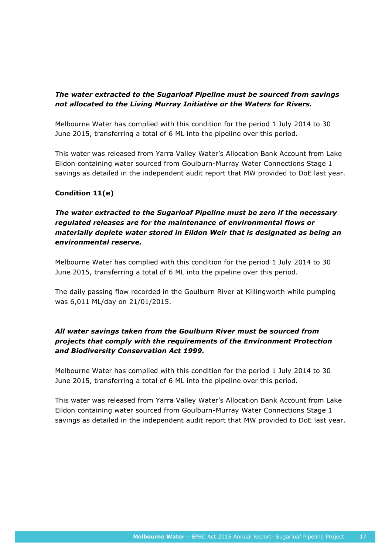### *The water extracted to the Sugarloaf Pipeline must be sourced from savings not allocated to the Living Murray Initiative or the Waters for Rivers.*

Melbourne Water has complied with this condition for the period 1 July 2014 to 30 June 2015, transferring a total of 6 ML into the pipeline over this period.

This water was released from Yarra Valley Water's Allocation Bank Account from Lake Eildon containing water sourced from Goulburn-Murray Water Connections Stage 1 savings as detailed in the independent audit report that MW provided to DoE last year.

### **Condition 11(e)**

### *The water extracted to the Sugarloaf Pipeline must be zero if the necessary regulated releases are for the maintenance of environmental flows or materially deplete water stored in Eildon Weir that is designated as being an environmental reserve.*

Melbourne Water has complied with this condition for the period 1 July 2014 to 30 June 2015, transferring a total of 6 ML into the pipeline over this period.

The daily passing flow recorded in the Goulburn River at Killingworth while pumping was 6,011 ML/day on 21/01/2015.

### *All water savings taken from the Goulburn River must be sourced from projects that comply with the requirements of the Environment Protection and Biodiversity Conservation Act 1999.*

Melbourne Water has complied with this condition for the period 1 July 2014 to 30 June 2015, transferring a total of 6 ML into the pipeline over this period.

This water was released from Yarra Valley Water's Allocation Bank Account from Lake Eildon containing water sourced from Goulburn-Murray Water Connections Stage 1 savings as detailed in the independent audit report that MW provided to DoE last year.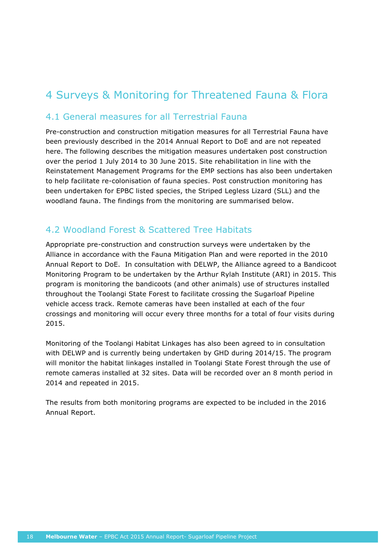# 4 Surveys & Monitoring for Threatened Fauna & Flora

### 4.1 General measures for all Terrestrial Fauna

Pre-construction and construction mitigation measures for all Terrestrial Fauna have been previously described in the 2014 Annual Report to DoE and are not repeated here. The following describes the mitigation measures undertaken post construction over the period 1 July 2014 to 30 June 2015. Site rehabilitation in line with the Reinstatement Management Programs for the EMP sections has also been undertaken to help facilitate re-colonisation of fauna species. Post construction monitoring has been undertaken for EPBC listed species, the Striped Legless Lizard (SLL) and the woodland fauna. The findings from the monitoring are summarised below.

## 4.2 Woodland Forest & Scattered Tree Habitats

Appropriate pre-construction and construction surveys were undertaken by the Alliance in accordance with the Fauna Mitigation Plan and were reported in the 2010 Annual Report to DoE. In consultation with DELWP, the Alliance agreed to a Bandicoot Monitoring Program to be undertaken by the Arthur Rylah Institute (ARI) in 2015. This program is monitoring the bandicoots (and other animals) use of structures installed throughout the Toolangi State Forest to facilitate crossing the Sugarloaf Pipeline vehicle access track. Remote cameras have been installed at each of the four crossings and monitoring will occur every three months for a total of four visits during 2015.

Monitoring of the Toolangi Habitat Linkages has also been agreed to in consultation with DELWP and is currently being undertaken by GHD during 2014/15. The program will monitor the habitat linkages installed in Toolangi State Forest through the use of remote cameras installed at 32 sites. Data will be recorded over an 8 month period in 2014 and repeated in 2015.

The results from both monitoring programs are expected to be included in the 2016 Annual Report.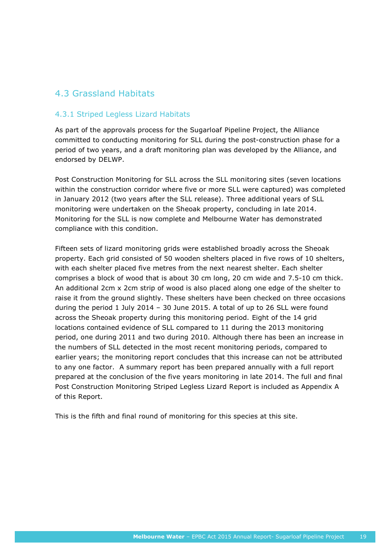## 4.3 Grassland Habitats

### 4.3.1 Striped Legless Lizard Habitats

As part of the approvals process for the Sugarloaf Pipeline Project, the Alliance committed to conducting monitoring for SLL during the post-construction phase for a period of two years, and a draft monitoring plan was developed by the Alliance, and endorsed by DELWP.

Post Construction Monitoring for SLL across the SLL monitoring sites (seven locations within the construction corridor where five or more SLL were captured) was completed in January 2012 (two years after the SLL release). Three additional years of SLL monitoring were undertaken on the Sheoak property, concluding in late 2014. Monitoring for the SLL is now complete and Melbourne Water has demonstrated compliance with this condition.

Fifteen sets of lizard monitoring grids were established broadly across the Sheoak property. Each grid consisted of 50 wooden shelters placed in five rows of 10 shelters, with each shelter placed five metres from the next nearest shelter. Each shelter comprises a block of wood that is about 30 cm long, 20 cm wide and 7.5-10 cm thick. An additional 2cm x 2cm strip of wood is also placed along one edge of the shelter to raise it from the ground slightly. These shelters have been checked on three occasions during the period 1 July 2014 – 30 June 2015. A total of up to 26 SLL were found across the Sheoak property during this monitoring period. Eight of the 14 grid locations contained evidence of SLL compared to 11 during the 2013 monitoring period, one during 2011 and two during 2010. Although there has been an increase in the numbers of SLL detected in the most recent monitoring periods, compared to earlier years; the monitoring report concludes that this increase can not be attributed to any one factor. A summary report has been prepared annually with a full report prepared at the conclusion of the five years monitoring in late 2014. The full and final Post Construction Monitoring Striped Legless Lizard Report is included as Appendix A of this Report.

This is the fifth and final round of monitoring for this species at this site.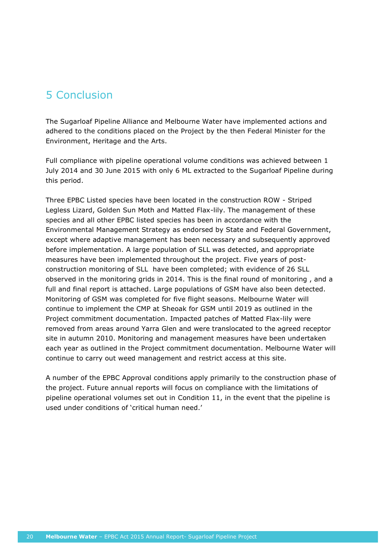# 5 Conclusion

The Sugarloaf Pipeline Alliance and Melbourne Water have implemented actions and adhered to the conditions placed on the Project by the then Federal Minister for the Environment, Heritage and the Arts.

Full compliance with pipeline operational volume conditions was achieved between 1 July 2014 and 30 June 2015 with only 6 ML extracted to the Sugarloaf Pipeline during this period.

Three EPBC Listed species have been located in the construction ROW - Striped Legless Lizard, Golden Sun Moth and Matted Flax-lily. The management of these species and all other EPBC listed species has been in accordance with the Environmental Management Strategy as endorsed by State and Federal Government, except where adaptive management has been necessary and subsequently approved before implementation. A large population of SLL was detected, and appropriate measures have been implemented throughout the project. Five years of postconstruction monitoring of SLL have been completed; with evidence of 26 SLL observed in the monitoring grids in 2014. This is the final round of monitoring , and a full and final report is attached. Large populations of GSM have also been detected. Monitoring of GSM was completed for five flight seasons. Melbourne Water will continue to implement the CMP at Sheoak for GSM until 2019 as outlined in the Project commitment documentation. Impacted patches of Matted Flax-lily were removed from areas around Yarra Glen and were translocated to the agreed receptor site in autumn 2010. Monitoring and management measures have been undertaken each year as outlined in the Project commitment documentation. Melbourne Water will continue to carry out weed management and restrict access at this site.

A number of the EPBC Approval conditions apply primarily to the construction phase of the project. Future annual reports will focus on compliance with the limitations of pipeline operational volumes set out in Condition 11, in the event that the pipeline is used under conditions of 'critical human need.'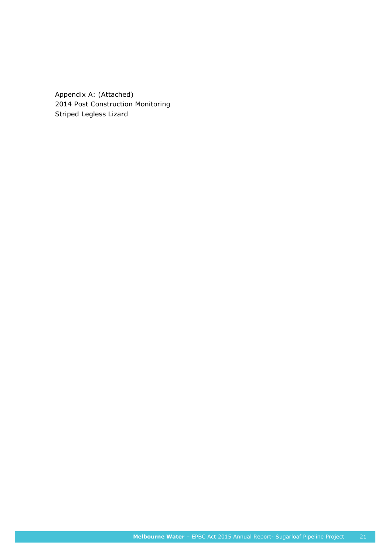Appendix A: (Attached) 2014 Post Construction Monitoring Striped Legless Lizard